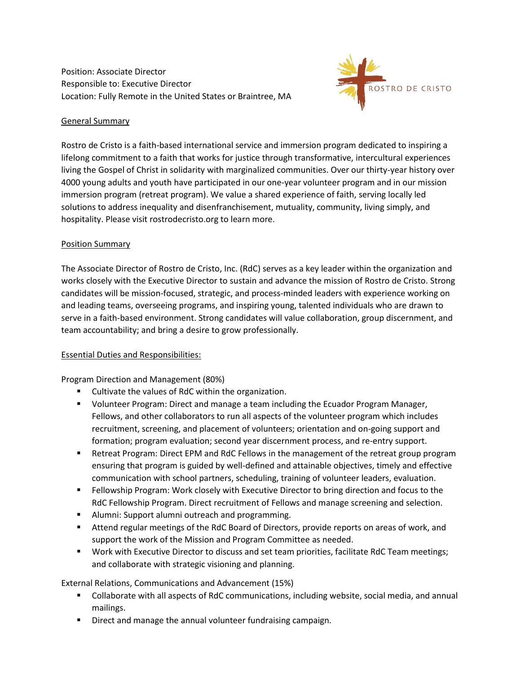Position: Associate Director Responsible to: Executive Director Location: Fully Remote in the United States or Braintree, MA



## General Summary

Rostro de Cristo is a faith-based international service and immersion program dedicated to inspiring a lifelong commitment to a faith that works for justice through transformative, intercultural experiences living the Gospel of Christ in solidarity with marginalized communities. Over our thirty-year history over 4000 young adults and youth have participated in our one-year volunteer program and in our mission immersion program (retreat program). We value a shared experience of faith, serving locally led solutions to address inequality and disenfranchisement, mutuality, community, living simply, and hospitality. Please visit rostrodecristo.org to learn more.

## Position Summary

The Associate Director of Rostro de Cristo, Inc. (RdC) serves as a key leader within the organization and works closely with the Executive Director to sustain and advance the mission of Rostro de Cristo. Strong candidates will be mission-focused, strategic, and process-minded leaders with experience working on and leading teams, overseeing programs, and inspiring young, talented individuals who are drawn to serve in a faith-based environment. Strong candidates will value collaboration, group discernment, and team accountability; and bring a desire to grow professionally.

## Essential Duties and Responsibilities:

Program Direction and Management (80%)

- Cultivate the values of RdC within the organization.
- Volunteer Program: Direct and manage a team including the Ecuador Program Manager, Fellows, and other collaborators to run all aspects of the volunteer program which includes recruitment, screening, and placement of volunteers; orientation and on-going support and formation; program evaluation; second year discernment process, and re-entry support.
- **EXECT:** Retreat Program: Direct EPM and RdC Fellows in the management of the retreat group program ensuring that program is guided by well-defined and attainable objectives, timely and effective communication with school partners, scheduling, training of volunteer leaders, evaluation.
- **■** Fellowship Program: Work closely with Executive Director to bring direction and focus to the RdC Fellowship Program. Direct recruitment of Fellows and manage screening and selection.
- **E** Alumni: Support alumni outreach and programming.
- **EXECT Attend regular meetings of the RdC Board of Directors, provide reports on areas of work, and** support the work of the Mission and Program Committee as needed.
- Work with Executive Director to discuss and set team priorities, facilitate RdC Team meetings; and collaborate with strategic visioning and planning.

External Relations, Communications and Advancement (15%)

- Collaborate with all aspects of RdC communications, including website, social media, and annual mailings.
- Direct and manage the annual volunteer fundraising campaign.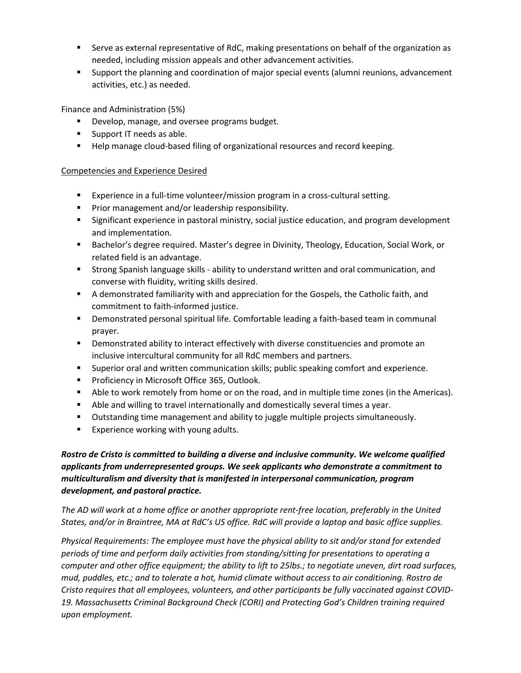- **•** Serve as external representative of RdC, making presentations on behalf of the organization as needed, including mission appeals and other advancement activities.
- Support the planning and coordination of major special events (alumni reunions, advancement activities, etc.) as needed.

Finance and Administration (5%)

- Develop, manage, and oversee programs budget.
- Support IT needs as able.
- Help manage cloud-based filing of organizational resources and record keeping.

## Competencies and Experience Desired

- Experience in a full-time volunteer/mission program in a cross-cultural setting.
- Prior management and/or leadership responsibility.
- **EXP** Significant experience in pastoral ministry, social justice education, and program development and implementation.
- Bachelor's degree required. Master's degree in Divinity, Theology, Education, Social Work, or related field is an advantage.
- **E** Strong Spanish language skills ability to understand written and oral communication, and converse with fluidity, writing skills desired.
- A demonstrated familiarity with and appreciation for the Gospels, the Catholic faith, and commitment to faith-informed justice.
- Demonstrated personal spiritual life. Comfortable leading a faith-based team in communal prayer.
- **•** Demonstrated ability to interact effectively with diverse constituencies and promote an inclusive intercultural community for all RdC members and partners.
- Superior oral and written communication skills; public speaking comfort and experience.
- Proficiency in Microsoft Office 365, Outlook.
- Able to work remotely from home or on the road, and in multiple time zones (in the Americas).
- Able and willing to travel internationally and domestically several times a year.
- **■** Outstanding time management and ability to juggle multiple projects simultaneously.
- Experience working with young adults.

*Rostro de Cristo is committed to building a diverse and inclusive community. We welcome qualified applicants from underrepresented groups. We seek applicants who demonstrate a commitment to multiculturalism and diversity that is manifested in interpersonal communication, program development, and pastoral practice.* 

*The AD will work at a home office or another appropriate rent-free location, preferably in the United States, and/or in Braintree, MA at RdC's US office. RdC will provide a laptop and basic office supplies.* 

*Physical Requirements: The employee must have the physical ability to sit and/or stand for extended periods of time and perform daily activities from standing/sitting for presentations to operating a computer and other office equipment; the ability to lift to 25lbs.; to negotiate uneven, dirt road surfaces, mud, puddles, etc.; and to tolerate a hot, humid climate without access to air conditioning. Rostro de Cristo requires that all employees, volunteers, and other participants be fully vaccinated against COVID-19. Massachusetts Criminal Background Check (CORI) and Protecting God's Children training required upon employment.*